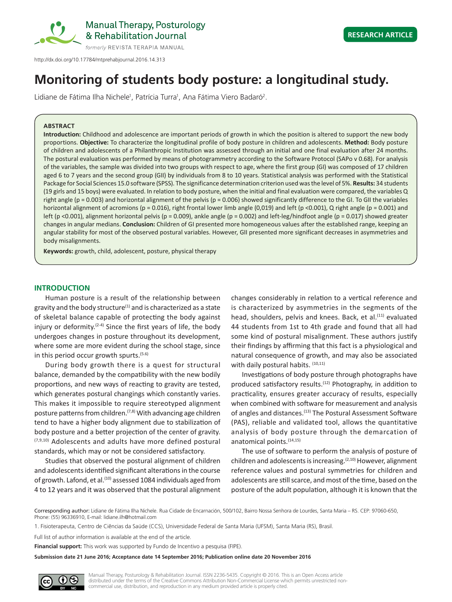

http://dx.doi.org/10.17784/mtprehabjournal.2016.14.313

# **Monitoring of students body posture: a longitudinal study.**

Lidiane de Fátima Ilha Nichele<sup>1</sup>, Patrícia Turra<sup>1</sup>, Ana Fátima Viero Badaró<sup>2</sup>.

### **ABSTRACT**

**Introduction:** Childhood and adolescence are important periods of growth in which the position is altered to support the new body proportions. **Objective:** To characterize the longitudinal profile of body posture in children and adolescents. **Method:** Body posture of children and adolescents of a Philanthropic Institution was assessed through an initial and one final evaluation after 24 months. The postural evaluation was performed by means of photogrammetry according to the Software Protocol (SAPo v 0.68). For analysis of the variables, the sample was divided into two groups with respect to age, where the first group (GI) was composed of 17 children aged 6 to 7 years and the second group (GII) by individuals from 8 to 10 years. Statistical analysis was performed with the Statistical Package for Social Sciences 15.0 software (SPSS). The significance determination criterion used was the level of 5%. **Results:** 34 students (19 girls and 15 boys) were evaluated. In relation to body posture, when the initial and final evaluation were compared, the variables Q right angle ( $p = 0.003$ ) and horizontal alignment of the pelvis ( $p = 0.006$ ) showed significantly difference to the GI. To GII the variables horizontal alignment of acromions (p = 0.016), right frontal lower limb angle (0,019) and left (p <0.001), Q right angle (p = 0.001) and left (p <0.001), alignment horizontal pelvis (p = 0.009), ankle angle (p = 0.002) and left-leg/hindfoot angle (p = 0.017) showed greater changes in angular medians. **Conclusion:** Children of GI presented more homogeneous values after the established range, keeping an angular stability for most of the observed postural variables. However, GII presented more significant decreases in asymmetries and body misalignments.

**Keywords:** growth, child, adolescent, posture, physical therapy

#### **INTRODUCTION**

Human posture is a result of the relationship between gravity and the body structure $(1)$  and is characterized as a state of skeletal balance capable of protecting the body against injury or deformity.<sup> $(2-4)$ </sup> Since the first years of life, the body undergoes changes in posture throughout its development, where some are more evident during the school stage, since in this period occur growth spurts.(5.6)

During body growth there is a quest for structural balance, demanded by the compatibility with the new bodily proportions, and new ways of reacting to gravity are tested, which generates postural changings which constantly varies. This makes it impossible to require stereotyped alignment posture patterns from children.<sup> $(7,8)$ </sup> With advancing age children tend to have a higher body alignment due to stabilization of body posture and a better projection of the center of gravity. (7,9,10) Adolescents and adults have more defined postural standards, which may or not be considered satisfactory.

Studies that observed the postural alignment of children and adolescents identified significant alterations in the course of growth. Lafond, et al.<sup>(10)</sup> assessed 1084 individuals aged from 4 to 12 years and it was observed that the postural alignment

changes considerably in relation to a vertical reference and is characterized by asymmetries in the segments of the head, shoulders, pelvis and knees. Back, et al.<sup>(11)</sup> evaluated 44 students from 1st to 4th grade and found that all had some kind of postural misalignment. These authors justify their findings by affirming that this fact is a physiological and natural consequence of growth, and may also be associated with daily postural habits. (10,11)

Investigations of body posture through photographs have produced satisfactory results.<sup>(12)</sup> Photography, in addition to practicality, ensures greater accuracy of results, especially when combined with software for measurement and analysis of angles and distances.<sup>(13)</sup> The Postural Assessment Software (PAS), reliable and validated tool, allows the quantitative analysis of body posture through the demarcation of anatomical points.(14,15)

The use of software to perform the analysis of posture of children and adolescents is increasing.<sup>(2,10)</sup> However, alignment reference values and postural symmetries for children and adolescents are still scarce, and most of the time, based on the posture of the adult population, although it is known that the

Corresponding author: Lidiane de Fátima Ilha Nichele. Rua Cidade de Encarnación, 500/102, Bairro Nossa Senhora de Lourdes, Santa Maria – RS. CEP: 97060-650, Phone: (55) 96336910, E-mail: lidiane.ilh@hotmail.com

1. Fisioterapeuta, Centro de Ciências da Saúde (CCS), Universidade Federal de Santa Maria (UFSM), Santa Maria (RS), Brasil.

Full list of author information is available at the end of the article.

**Financial support:** This work was supported by Fundo de Incentivo a pesquisa (FIPE).

**Submission date 21 June 2016; Acceptance date 14 September 2016; Publication online date 20 November 2016**



Manual Therapy, Posturology & Rehabilitation Journal. ISSN 2236-5435. Copyright © 2016. This is an Open Access article distributed under the terms of the Creative Commons Attribution Non-Commercial License which permits unrestricted noncommercial use, distribution, and reproduction in any medium provided article is properly cited.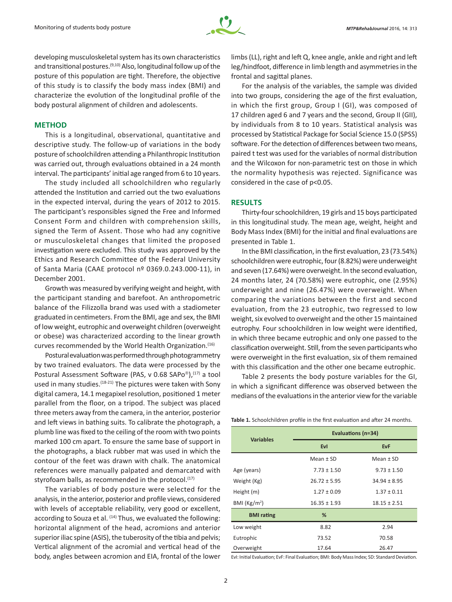

developing musculoskeletal system has its own characteristics and transitional postures.<sup>(9,10)</sup> Also, longitudinal follow up of the posture of this population are tight. Therefore, the objective of this study is to classify the body mass index (BMI) and characterize the evolution of the longitudinal profile of the body postural alignment of children and adolescents.

#### **METHOD**

This is a longitudinal, observational, quantitative and descriptive study. The follow-up of variations in the body posture of schoolchildren attending a Philanthropic Institution was carried out, through evaluations obtained in a 24 month interval. The participants' initial age ranged from 6 to 10 years.

The study included all schoolchildren who regularly attended the Institution and carried out the two evaluations in the expected interval, during the years of 2012 to 2015. The participant's responsibles signed the Free and Informed Consent Form and children with comprehension skills, signed the Term of Assent. Those who had any cognitive or musculoskeletal changes that limited the proposed investigation were excluded. This study was approved by the Ethics and Research Committee of the Federal University of Santa Maria (CAAE protocol nº 0369.0.243.000-11), in December 2001.

Growth was measured by verifying weight and height, with the participant standing and barefoot. An anthropometric balance of the Filizzolla brand was used with a stadiometer graduated in centimeters. From the BMI, age and sex, the BMI of low weight, eutrophic and overweight children (overweight or obese) was characterized according to the linear growth curves recommended by the World Health Organization.<sup>(16)</sup>

Postural evaluation was performed through photogrammetry by two trained evaluators. The data were processed by the Postural Assessment Software (PAS, v 0.68 SAPo®),<sup>(17)</sup> a tool used in many studies.<sup>(18-21)</sup> The pictures were taken with Sony digital camera, 14.1 megapixel resolution, positioned 1 meter parallel from the floor, on a tripod. The subject was placed three meters away from the camera, in the anterior, posterior and left views in bathing suits. To calibrate the photograph, a plumb line was fixed to the ceiling of the room with two points marked 100 cm apart. To ensure the same base of support in the photographs, a black rubber mat was used in which the contour of the feet was drawn with chalk. The anatomical references were manually palpated and demarcated with styrofoam balls, as recommended in the protocol.<sup>(17)</sup>

The variables of body posture were selected for the analysis, in the anterior, posterior and profile views, considered with levels of acceptable reliability, very good or excellent, according to Souza et al.  $(14)$  Thus, we evaluated the following: horizontal alignment of the head, acromions and anterior superior iliac spine (ASIS), the tuberosity of the tibia and pelvis; Vertical alignment of the acromial and vertical head of the body, angles between acromion and EIA, frontal of the lower limbs (LL), right and left Q, knee angle, ankle and right and left leg/hindfoot, difference in limb length and asymmetries in the frontal and sagittal planes.

For the analysis of the variables, the sample was divided into two groups, considering the age of the first evaluation, in which the first group, Group I (GI), was composed of 17 children aged 6 and 7 years and the second, Group II (GII), by individuals from 8 to 10 years. Statistical analysis was processed by Statistical Package for Social Science 15.0 (SPSS) software. For the detection of differences between two means, paired t test was used for the variables of normal distribution and the Wilcoxon for non-parametric test on those in which the normality hypothesis was rejected. Significance was considered in the case of p<0.05.

## **RESULTS**

Thirty-four schoolchildren, 19 girls and 15 boys participated in this longitudinal study. The mean age, weight, height and Body Mass Index (BMI) for the initial and final evaluations are presented in Table 1.

In the BMI classification, in the first evaluation, 23 (73.54%) schoolchildren were eutrophic, four (8.82%) were underweight and seven (17.64%) were overweight. In the second evaluation, 24 months later, 24 (70.58%) were eutrophic, one (2.95%) underweight and nine (26.47%) were overweight. When comparing the variations between the first and second evaluation, from the 23 eutrophic, two regressed to low weight, six evolved to overweight and the other 15 maintained eutrophy. Four schoolchildren in low weight were identified, in which three became eutrophic and only one passed to the classification overweight. Still, from the seven participants who were overweight in the first evaluation, six of them remained with this classification and the other one became eutrophic.

Table 2 presents the body posture variables for the GI, in which a significant difference was observed between the medians of the evaluations in the anterior view for the variable

**Table 1.** Schoolchildren profile in the first evaluation and after 24 months.

| <b>Variables</b>        | Evaluations (n=34)                 |                  |  |
|-------------------------|------------------------------------|------------------|--|
|                         | <b>EvI</b>                         | <b>EvF</b>       |  |
|                         | Mean $\pm$ SD                      | Mean $\pm$ SD    |  |
| Age (years)             | $7.73 \pm 1.50$                    | $9.73 \pm 1.50$  |  |
| Weight (Kg)             | $26.72 \pm 5.95$                   | $34.94 \pm 8.95$ |  |
| Height (m)              | $1.27 \pm 0.09$<br>$1.37 \pm 0.11$ |                  |  |
| BMI ( $\text{Kg/m}^2$ ) | $16.35 \pm 1.93$                   | $18.15 \pm 2.51$ |  |
| <b>BMI</b> rating       | %                                  |                  |  |
| Low weight              | 8.82                               | 2.94             |  |
| Eutrophic               | 73.52                              | 70.58            |  |
| Overweight              | 17.64                              | 26.47            |  |

EvI: Initial Evaluation; EvF: Final Evaluation; BMI: Body Mass Index; SD: Standard Deviation.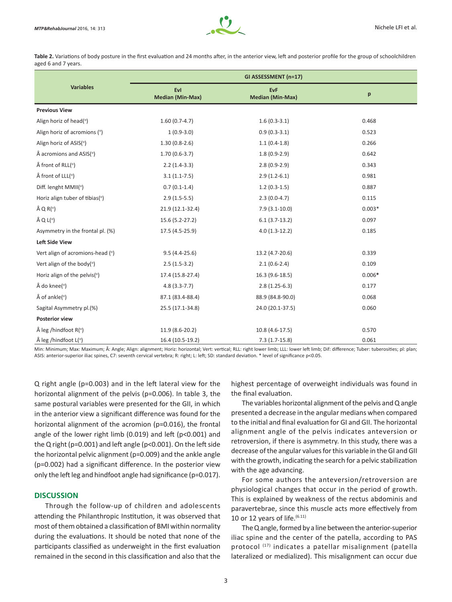

Table 2. Variations of body posture in the first evaluation and 24 months after, in the anterior view, left and posterior profile for the group of schoolchildren aged 6 and 7 years.

|                                           | GI ASSESSMENT (n=17)           |                                       |          |  |
|-------------------------------------------|--------------------------------|---------------------------------------|----------|--|
| <b>Variables</b>                          | Evl<br><b>Median (Min-Max)</b> | <b>EvF</b><br><b>Median (Min-Max)</b> | p        |  |
| <b>Previous View</b>                      |                                |                                       |          |  |
| Align horiz of head(°)                    | $1.60(0.7-4.7)$                | $1.6(0.3-3.1)$                        | 0.468    |  |
| Align horiz of acromions (°)              | $1(0.9-3.0)$                   | $0.9(0.3-3.1)$                        | 0.523    |  |
| Align horiz of ASIS(°)                    | $1.30(0.8-2.6)$                | $1.1(0.4-1.8)$                        | 0.266    |  |
| $\hat{A}$ acromions and ASIS( $\degree$ ) | $1.70(0.6-3.7)$                | $1.8(0.9-2.9)$                        | 0.642    |  |
| $\hat{A}$ front of RLL( $\circ$ )         | $2.2(1.4-3.3)$                 | $2.8(0.9-2.9)$                        | 0.343    |  |
| $\hat{A}$ front of LLL( $\circ$ )         | $3.1(1.1-7.5)$                 | $2.9(1.2-6.1)$                        | 0.981    |  |
| Diff. lenght MMII(°)                      | $0.7(0.1-1.4)$                 | $1.2(0.3-1.5)$                        | 0.887    |  |
| Horiz align tuber of tibias(°)            | $2.9(1.5-5.5)$                 | $2.3(0.0-4.7)$                        | 0.115    |  |
| $\hat{A} Q R$ <sup>o</sup> )              | 21.9 (12.1-32.4)               | $7.9(3.1-10.0)$                       | $0.003*$ |  |
| $\hat{A} Q L$ <sup>o</sup> )              | 15.6 (5.2-27.2)                | $6.1(3.7-13.2)$                       | 0.097    |  |
| Asymmetry in the frontal pl. (%)          | 17.5 (4.5-25.9)                | $4.0(1.3-12.2)$                       | 0.185    |  |
| <b>Left Side View</b>                     |                                |                                       |          |  |
| Vert align of acromions-head (°)          | $9.5(4.4-25.6)$                | 13.2 (4.7-20.6)                       | 0.339    |  |
| Vert align of the body(°)                 | $2.5(1.5-3.2)$                 | $2.1(0.6-2.4)$                        | 0.109    |  |
| Horiz align of the pelvis(°)              | 17.4 (15.8-27.4)               | 16.3 (9.6-18.5)                       | $0.006*$ |  |
| $\hat{A}$ do knee( $\degree$ )            | $4.8(3.3-7.7)$                 | $2.8(1.25-6.3)$                       | 0.177    |  |
| $\hat{A}$ of ankle( $\degree$ )           | 87.1 (83.4-88.4)               | 88.9 (84.8-90.0)                      | 0.068    |  |
| Sagital Asymmetry pl.(%)                  | 25.5 (17.1-34.8)               | 24.0 (20.1-37.5)                      | 0.060    |  |
| <b>Posterior view</b>                     |                                |                                       |          |  |
| $\hat{A}$ leg /hindfoot R( $\degree$ )    | 11.9 (8.6-20.2)                | 10.8 (4.6-17.5)                       | 0.570    |  |
| $\hat{A}$ leg /hindfoot L( $\degree$ )    | 16.4 (10.5-19.2)               | $7.3(1.7-15.8)$                       | 0.061    |  |

Min: Minimum; Max: Maximum; Â: Angle; Align: alignment; Horiz: horizontal; Vert: vertical; RLL: right lower limb; LLL: lower left limb; Dif: difference; Tuber: tuberosities; pl: plan; ASIS: anterior-superior iliac spines, C7: seventh cervical vertebra; R: right; L: left; SD: standard deviation. \* level of significance p<0.05.

Q right angle (p=0.003) and in the left lateral view for the horizontal alignment of the pelvis (p=0.006). In table 3, the same postural variables were presented for the GII, in which in the anterior view a significant difference was found for the horizontal alignment of the acromion (p=0.016), the frontal angle of the lower right limb (0.019) and left (p<0.001) and the Q right (p=0.001) and left angle (p<0.001). On the left side the horizontal pelvic alignment (p=0.009) and the ankle angle (p=0.002) had a significant difference. In the posterior view only the left leg and hindfoot angle had significance (p=0.017).

### **DISCUSSION**

Through the follow-up of children and adolescents attending the Philanthropic Institution, it was observed that most of them obtained a classification of BMI within normality during the evaluations. It should be noted that none of the participants classified as underweight in the first evaluation remained in the second in this classification and also that the

highest percentage of overweight individuals was found in the final evaluation.

The variables horizontal alignment of the pelvis and Q angle presented a decrease in the angular medians when compared to the initial and final evaluation for GI and GII. The horizontal alignment angle of the pelvis indicates anteversion or retroversion, if there is asymmetry. In this study, there was a decrease of the angular values for this variable in the GI and GII with the growth, indicating the search for a pelvic stabilization with the age advancing.

For some authors the anteversion/retroversion are physiological changes that occur in the period of growth. This is explained by weakness of the rectus abdominis and paravertebrae, since this muscle acts more effectively from 10 or 12 years of life. $(6.11)$ 

The Q angle, formed by a line between the anterior-superior iliac spine and the center of the patella, according to PAS protocol (17) indicates a patellar misalignment (patella lateralized or medialized). This misalignment can occur due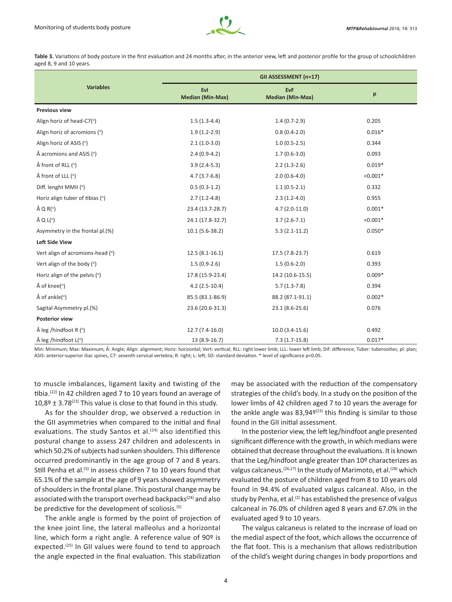

Table 3. Variations of body posture in the first evaluation and 24 months after, in the anterior view, left and posterior profile for the group of schoolchildren aged 8, 9 and 10 years.

|                                            | GII ASSESSMENT (n=17)          |                                       |            |
|--------------------------------------------|--------------------------------|---------------------------------------|------------|
| <b>Variables</b>                           | Evl<br><b>Median (Min-Max)</b> | <b>EvF</b><br><b>Median (Min-Max)</b> | p          |
| <b>Previous view</b>                       |                                |                                       |            |
| Align horiz of head-C7(°)                  | $1.5(1.3-4.4)$                 | $1.4(0.7-2.9)$                        | 0.205      |
| Align horiz of acromions (°)               | $1.9(1.2-2.9)$                 | $0.8(0.4-2.0)$                        | $0.016*$   |
| Align horiz of ASIS (°)                    | $2.1(1.0-3.0)$                 | $1.0(0.5-2.5)$                        | 0.344      |
| $\hat{A}$ acromions and ASIS ( $\degree$ ) | $2.4(0.9-4.2)$                 | $1.7(0.6-3.0)$                        | 0.093      |
| $\hat{A}$ front of RLL ( $\circ$ )         | $3.9(2.4-5.3)$                 | $2.2(1.3-2.6)$                        | $0.019*$   |
| $\hat{A}$ front of LLL $(°)$               | $4.7(3.7-6.8)$                 | $2.0(0.6-4.0)$                        | $< 0.001*$ |
| Diff. lenght MMII (°)                      | $0.5(0.3-1.2)$                 | $1.1(0.5-2.1)$                        | 0.332      |
| Horiz align tuber of tibias (°)            | $2.7(1.2-4.8)$                 | $2.3(1.2-4.0)$                        | 0.955      |
| $\hat{A}$ Q R( $^{\circ}$ )                | 23.4 (13.7-28.7)               | $4.7(2.0-11.0)$                       | $0.001*$   |
| $\hat{A} Q L$ <sup>o</sup>                 | 24.1 (17.8-32.7)               | $3.7(2.6-7.1)$                        | $< 0.001*$ |
| Asymmetry in the frontal pl.(%)            | $10.1(5.6-38.2)$               | $5.3(2.1-11.2)$                       | $0.050*$   |
| <b>Left Side View</b>                      |                                |                                       |            |
| Vert align of acromions-head (°)           | $12.5(8.1-16.1)$               | 17.5 (7.8-23.7)                       | 0.619      |
| Vert align of the body (°)                 | $1.5(0.9-2.6)$                 | $1.5(0.6-2.0)$                        | 0.393      |
| Horiz align of the pelvis (°)              | 17.8 (15.9-23.4)               | 14.2 (10.6-15.5)                      | $0.009*$   |
| $\hat{A}$ of knee( $\degree$ )             | $4.2(2.5-10.4)$                | $5.7(1.3-7.8)$                        | 0.394      |
| $\hat{A}$ of ankle( $\degree$ )            | 85.5 (83.1-86.9)               | 88.2 (87.1-91.1)                      | $0.002*$   |
| Sagital Asymmetry pl.(%)                   | 23.6 (20.6-31.3)               | 23.1 (8.6-25.6)                       | 0.076      |
| <b>Posterior view</b>                      |                                |                                       |            |
| $\hat{A}$ leg /hindfoot R (°)              | $12.7(7.4-16.0)$               | $10.0(3.4-15.6)$                      | 0.492      |
| leg /hindfoot L(°)                         | 13 (8.9-16.7)                  | $7.3(1.7-15.8)$                       | $0.017*$   |

Min: Minimum; Max: Maximum; Â: Angle; Align: alignment; Horiz: horizontal; Vert: vertical; RLL: right lower limb; LLL: lower left limb; Dif: difference; Tuber: tuberosities; pl: plan; ASIS: anterior-superior iliac spines, C7: seventh cervical vertebra; R: right; L: left; SD: standard deviation. \* level of significance p<0.05.

to muscle imbalances, ligament laxity and twisting of the tibia.<sup>(22)</sup> In 42 children aged 7 to 10 years found an average of  $10.8^{\circ}$  ± 3.78<sup>(23)</sup> This value is close to that found in this study.

As for the shoulder drop, we observed a reduction in the GII asymmetries when compared to the initial and final evaluations. The study Santos et al.<sup>(24)</sup> also identified this postural change to assess 247 children and adolescents in which 50.2% of subjects had sunken shoulders. This difference occurred predominantly in the age group of 7 and 8 years. Still Penha et al.<sup>(5)</sup> in assess children 7 to 10 years found that 65.1% of the sample at the age of 9 years showed asymmetry of shoulders in the frontal plane. This postural change may be associated with the transport overhead backpacks<sup>(24)</sup> and also be predictive for the development of scoliosis.(5)

The ankle angle is formed by the point of projection of the knee joint line, the lateral malleolus and a horizontal line, which form a right angle. A reference value of 90<sup>o</sup> is expected.<sup>(25)</sup> In GII values were found to tend to approach the angle expected in the final evaluation. This stabilization

may be associated with the reduction of the compensatory strategies of the child's body. In a study on the position of the lower limbs of 42 children aged 7 to 10 years the average for the ankle angle was  $83,94<sup>o(23)</sup>$  this finding is similar to those found in the GII initial assessment.

In the posterior view, the left leg/hindfoot angle presented significant difference with the growth, in which medians were obtained that decrease throughout the evaluations. It is known that the Leg/hindfoot angle greater than 10º characterizes as valgus calcaneus.<sup>(26,27)</sup> In the study of Marimoto, et al.<sup>(28)</sup> which evaluated the posture of children aged from 8 to 10 years old found in 94.4% of evaluated valgus calcaneal. Also, in the study by Penha, et al.<sup>(2)</sup> has established the presence of valgus calcaneal in 76.0% of children aged 8 years and 67.0% in the evaluated aged 9 to 10 years.

The valgus calcaneus is related to the increase of load on the medial aspect of the foot, which allows the occurrence of the flat foot. This is a mechanism that allows redistribution of the child's weight during changes in body proportions and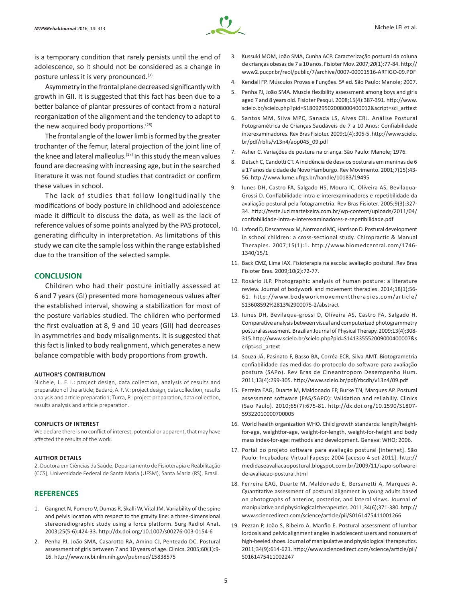

is a temporary condition that rarely persists until the end of adolescence, so it should not be considered as a change in posture unless it is very pronounced.<sup>(7)</sup>

Asymmetry in the frontal plane decreased significantly with growth in GII. It is suggested that this fact has been due to a better balance of plantar pressures of contact from a natural reorganization of the alignment and the tendency to adapt to the new acquired body proportions.<sup>(28)</sup>

The frontal angle of the lower limb is formed by the greater trochanter of the femur, lateral projection of the joint line of the knee and lateral malleolus.<sup>(17)</sup> In this study the mean values found are decreasing with increasing age, but in the searched literature it was not found studies that contradict or confirm these values in school.

The lack of studies that follow longitudinally the modifications of body posture in childhood and adolescence made it difficult to discuss the data, as well as the lack of reference values of some points analyzed by the PAS protocol, generating difficulty in interpretation. As limitations of this study we can cite the sample loss within the range established due to the transition of the selected sample.

#### **CONCLUSION**

Children who had their posture initially assessed at 6 and 7 years (GI) presented more homogeneous values after the established interval, showing a stabilization for most of the posture variables studied. The children who performed the first evaluation at 8, 9 and 10 years (GII) had decreases in asymmetries and body misalignments. It is suggested that this fact is linked to body realignment, which generates a new balance compatible with body proportions from growth.

#### **AUTHOR'S CONTRIBUTION**

Nichele, L. F. I.: project design, data collection, analysis of results and preparation of the article; Badaró, A. F. V.: project design, data collection, results analysis and article preparation; Turra, P.: project preparation, data collection, results analysis and article preparation.

#### **CONFLICTS OF INTEREST**

We declare there is no conflict of interest, potential or apparent, that may have affected the results of the work.

#### **AUTHOR DETAILS**

2. Doutora em Ciências da Saúde, Departamento de Fisioterapia e Reabilitação (CCS), Universidade Federal de Santa Maria (UFSM), Santa Maria (RS), Brasil.

## **REFERENCES**

- 1. Gangnet N, Pomero V, Dumas R, Skalli W, Vital JM. Variability of the spine and pelvis location with respect to the gravity line: a three-dimensional stereoradiographic study using a force platform. Surg Radiol Anat. 2003;25(5-6):424-33. http://dx.doi.org/10.1007/s00276-003-0154-6
- 2. Penha PJ, João SMA, Casarotto RA, Amino CJ, Penteado DC. Postural assessment of girls between 7 and 10 years of age. Clinics. 2005;60(1):9- 16. http://www.ncbi.nlm.nih.gov/pubmed/15838575
- 3. Kussuki MOM, João SMA, Cunha ACP. Caracterização postural da coluna de crianças obesas de 7 a 10 anos. Fisioter Mov. 2007;*20*(1):77-84. http:// www2.pucpr.br/reol/public/7/archive/0007-00001516-ARTIGO-09.PDF
- 4. Kendall FP. Músculos Provas e Funções. 5ª ed. São Paulo: Manole; 2007.
- 5. Penha PJ, João SMA. Muscle flexibility assessment among boys and girls aged 7 and 8 years old. Fisioter Pesqui. 2008;15(4):387-391. http://www. scielo.br/scielo.php?pid=S180929502008000400012&script=sci\_arttext
- 6. Santos MM, Silva MPC, Sanada LS, Alves CRJ. Análise Postural Fotogramétrica de Crianças Saudáveis de 7 a 10 Anos: Confiabilidade interexaminadores. Rev Bras Fisioter. 2009;1(4):305-5. http://www.scielo. br/pdf/rbfis/v13n4/aop045\_09.pdf
- 7. Asher C. Variações de postura na criança. São Paulo: Manole; 1976.
- 8. Detsch C, Candotti CT. A incidência de desvios posturais em meninas de 6 a 17 anos da cidade de Novo Hamburgo. Rev Movimento. 2001;7(15):43- 56. http://www.lume.ufrgs.br/handle/10183/19495
- 9. Iunes DH, Castro FA, Salgado HS, Moura IC, Oliveira AS, Bevilaqua-Grossi D. Confiabilidade intra e interexaminadores e repetibilidade da avaliação postural pela fotogrametria. Rev Bras Fisioter. 2005;9(3):327- 34. http://teste.luzimarteixeira.com.br/wp-content/uploads/2011/04/ confiabilidade-intra-e-interexaminadores-e-repetibilidade.pdf
- 10. Lafond D, Descarreaux M, Normand MC, Harrison D. Postural development in school children: a cross-sectional study. Chiropractic & Manual Therapies. 2007;15(1):1. http://www.biomedcentral.com/1746- 1340/15/1
- 11. Back CMZ, Lima IAX. Fisioterapia na escola: avaliação postural. Rev Bras Fisioter Bras. 2009;10(2):72-77.
- 12. Rosário JLP. Photographic analysis of human posture: a literature review. Journal of bodywork and movement therapies. 2014;18(1);56- 61. http://www.bodyworkmovementtherapies.com/article/ S13608592%2813%2900075-2/abstract
- 13. Iunes DH, Bevilaqua-grossi D, Oliveira AS, Castro FA, Salgado H. Comparative analysis between visual and computerized photogrammetry postural assessment. Brazilian Journal of Physical Therapy. 2009;13(4);308- 315.http://www.scielo.br/scielo.php?pid=S141335552009000400007&s cript=sci\_artext
- 14. Souza JÁ, Pasinato F, Basso BA, Corrêa ECR, Silva AMT. Biotogrametria confiabilidade das medidas do protocolo do software para avaliação postura (SAPo). Rev Bras de Cineantropom Desempenho Hum. 2011;13(4):299-305. http://www.scielo.br/pdf/rbcdh/v13n4/09.pdf
- 15. Ferreira EAG, Duarte M, Maldonado EP, Burke TN, Marques AP. Postural assessment software (PAS/SAPO): Validation and reliabiliy. Clinics (Sao Paulo). 2010;65(7):675-81. http://dx.doi.org/10.1590/S1807- 59322010000700005
- 16. World health organization WHO. Child growth standards: length/heightfor-age, weightfor-age, weight-for-length, weight-for-height and body mass index-for-age: methods and development. Geneva: WHO; 2006.
- 17. Portal do projeto software para avaliação postural [internet]. São Paulo: Incubadora Virtual Fapesp; 2004 [acesso 4 set 2011]. http:// medidaseavaliacaopostural.blogspot.com.br/2009/11/sapo-softwarede-avaliacao-postural.html
- 18. Ferreira EAG, Duarte M, Maldonado E, Bersanetti A, Marques A. Quantitative assessment of postural alignment in young adults based on photographs of anterior, posterior, and lateral views. Journal of manipulative and physiological therapeutics. 2011;34(6);371-380. http:// www.sciencedirect.com/science/article/pii/S0161475411001266
- 19. Pezzan P, João S, Ribeiro A, Manfio E. Postural assessment of lumbar lordosis and pelvic alignment angles in adolescent users and nonusers of high-heeled shoes. Journal of manipulative and physiological therapeutics. 2011;34(9):614-621. http://www.sciencedirect.com/science/article/pii/ S0161475411002247